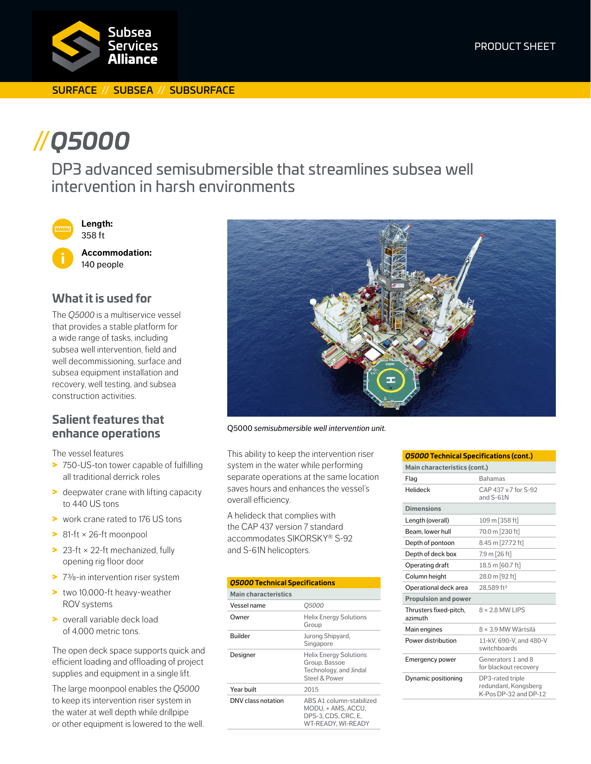

#### SURFACE // SUBSEA // SUBSURFACE

# **//***Q5000*

DP3 advanced semisubmersible that streamlines subsea well intervention in harsh environments



**Length:** 358 ft

**Accommodation:** 140 people

## **What it is used for**

The *Q5000* is a multiservice vessel that provides a stable platform for a wide range of tasks, including subsea well intervention, field and well decommissioning, surface and subsea equipment installation and recovery, well testing, and subsea construction activities.

## **Salient features that enhance operations**

The vessel features

- > 750-US-ton tower capable of fulfilling all traditional derrick roles
- > deepwater crane with lifting capacity to 440 US tons
- > work crane rated to 176 US tons
- > 81-ft × 26-ft moonpool
- $\geq 23$ -ft × 22-ft mechanized, fully opening rig floor door
- > 7<sup>3</sup>/<sub>8</sub>-in intervention riser system
- > two 10,000-ft heavy-weather ROV systems
- > overall variable deck load of 4,000 metric tons.

The open deck space supports quick and efficient loading and offloading of project supplies and equipment in a single lift.

The large moonpool enables the *Q5000* to keep its intervention riser system in the water at well depth while drillpipe or other equipment is lowered to the well.



Q5000 *semisubmersible well intervention unit.*

This ability to keep the intervention riser system in the water while performing separate operations at the same location saves hours and enhances the vessel's overall efficiency.

A helideck that complies with the CAP 437 version 7 standard accommodates SIKORSKY® S-92 and S-61N helicopters.

| <b>05000 Technical Specifications</b> |                                                                                             |  |
|---------------------------------------|---------------------------------------------------------------------------------------------|--|
| <b>Main characteristics</b>           |                                                                                             |  |
| Vessel name                           | O5000                                                                                       |  |
| Owner                                 | <b>Helix Energy Solutions</b><br>Group                                                      |  |
| <b>Builder</b>                        | Jurong Shipyard,<br>Singapore                                                               |  |
| Designer                              | <b>Helix Energy Solutions</b><br>Group, Bassoe<br>Technology, and Jindal<br>Steel & Power   |  |
| Year built                            | 2015                                                                                        |  |
| DNV class notation                    | ABS A1 column-stabilized<br>MODU. + AMS. ACCU.<br>DPS-3. CDS. CRC. E.<br>WT-READY, WI-READY |  |

#### *Q5000* **Technical Specifications (cont.)**

| Main characteristics (cont.)      |                                                                   |
|-----------------------------------|-------------------------------------------------------------------|
| Flag                              | <b>Bahamas</b>                                                    |
| Helideck                          | CAP 437 v.7 for S-92<br>and S-61N                                 |
| <b>Dimensions</b>                 |                                                                   |
| Length (overall)                  | 109 m [358 ft]                                                    |
| Beam, lower hull                  | 70.0 m [230 ft]                                                   |
| Depth of pontoon                  | 8.45 m [27.72 ft]                                                 |
| Depth of deck box                 | 7.9 m [26 ft]                                                     |
| Operating draft                   | 18.5 m [60.7 ft]                                                  |
| Column height                     | 28.0 m [92 ft]                                                    |
| Operational deck area             | 28.589 ft <sup>2</sup>                                            |
| <b>Propulsion and power</b>       |                                                                   |
| Thrusters fixed-pitch,<br>azimuth | $8 \times 2.8$ MW LIPS                                            |
| Main engines                      | $8 \times 3.9$ MW Wärtsilä                                        |
| Power distribution                | 11-kV, 690-V, and 480-V<br>switchboards                           |
| Emergency power                   | Generators 1 and 8<br>for blackout recovery                       |
| Dynamic positioning               | DP3-rated triple<br>redundant, Kongsberg<br>K-Pos DP-32 and DP-12 |